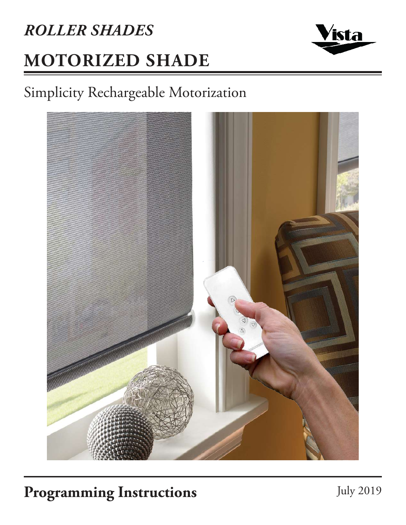# **MOTORIZED SHADE** *ROLLER SHADES*



### Simplicity Rechargeable Motorization



### Programming Instructions July 2019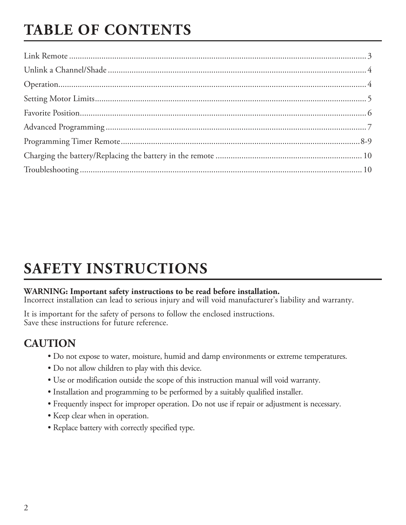## **TABLE OF CONTENTS**

### **SAFETY INSTRUCTIONS**

#### **WARNING: Important safety instructions to be read before installation.**

Incorrect installation can lead to serious injury and will void manufacturer's liability and warranty.

It is important for the safety of persons to follow the enclosed instructions. Save these instructions for future reference.

#### **CAUTION**

- Do not expose to water, moisture, humid and damp environments or extreme temperatures.
- Do not allow children to play with this device.
- Use or modification outside the scope of this instruction manual will void warranty.
- Installation and programming to be performed by a suitably qualified installer.
- Frequently inspect for improper operation. Do not use if repair or adjustment is necessary.
- Keep clear when in operation.
- Replace battery with correctly specified type.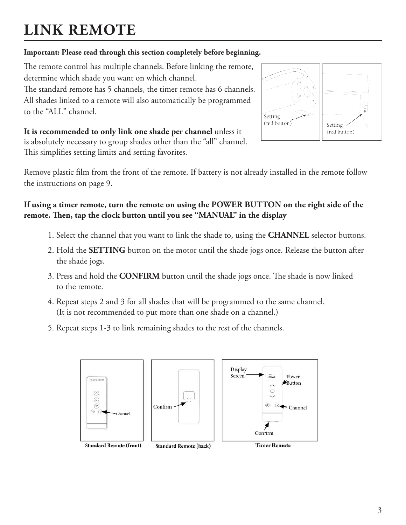## **LINK REMOTE**

#### **Important: Please read through this section completely before beginning.**

The remote control has multiple channels. Before linking the remote, determine which shade you want on which channel.

The standard remote has 5 channels, the timer remote has 6 channels. All shades linked to a remote will also automatically be programmed to the "ALL" channel.

Setting (red button) Setting (red button)

**It is recommended to only link one shade per channel** unless it is absolutely necessary to group shades other than the "all" channel. This simplifies setting limits and setting favorites.

Remove plastic film from the front of the remote. If battery is not already installed in the remote follow the instructions on page 9.

#### **If using a timer remote, turn the remote on using the POWER BUTTON on the right side of the remote. Then, tap the clock button until you see "MANUAL" in the display**

- 1. Select the channel that you want to link the shade to, using the **CHANNEL** selector buttons.
- 2. Hold the **SETTING** button on the motor until the shade jogs once. Release the button after the shade jogs.
- 3. Press and hold the **CONFIRM** button until the shade jogs once. The shade is now linked to the remote.
- 4. Repeat steps 2 and 3 for all shades that will be programmed to the same channel. (It is not recommended to put more than one shade on a channel.)
- 5. Repeat steps 1-3 to link remaining shades to the rest of the channels.

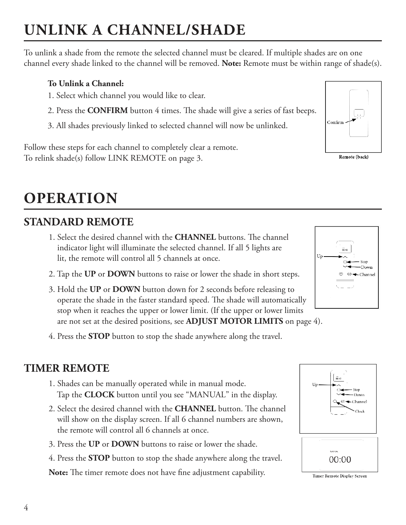## **UNLINK A CHANNEL/SHADE**

To unlink a shade from the remote the selected channel must be cleared. If multiple shades are on one channel every shade linked to the channel will be removed. **Note:** Remote must be within range of shade(s).

#### **To Unlink a Channel:**

- 1. Select which channel you would like to clear.
- 2. Press the **CONFIRM** button 4 times. The shade will give a series of fast beeps.
- 3. All shades previously linked to selected channel will now be unlinked.

Follow these steps for each channel to completely clear a remote. To relink shade(s) follow LINK REMOTE on page 3.

## **OPERATION**

### **STANDARD REMOTE**

- 1. Select the desired channel with the **CHANNEL** buttons. The channel indicator light will illuminate the selected channel. If all 5 lights are lit, the remote will control all 5 channels at once.
- 2. Tap the **UP** or **DOWN** buttons to raise or lower the shade in short steps.
- 3. Hold the **UP** or **DOWN** button down for 2 seconds before releasing to operate the shade in the faster standard speed. The shade will automatically stop when it reaches the upper or lower limit. (If the upper or lower limits are not set at the desired positions, see **ADJUST MOTOR LIMITS** on page 4).
- 4. Press the **STOP** button to stop the shade anywhere along the travel.

### **TIMER REMOTE**

- 1. Shades can be manually operated while in manual mode. Tap the **CLOCK** button until you see "MANUAL" in the display.
- 2. Select the desired channel with the **CHANNEL** button. The channel will show on the display screen. If all 6 channel numbers are shown, the remote will control all 6 channels at once.
- 3. Press the **UP** or **DOWN** buttons to raise or lower the shade.
- 4. Press the **STOP** button to stop the shade anywhere along the travel.

**Note:** The timer remote does not have fine adjustment capability.









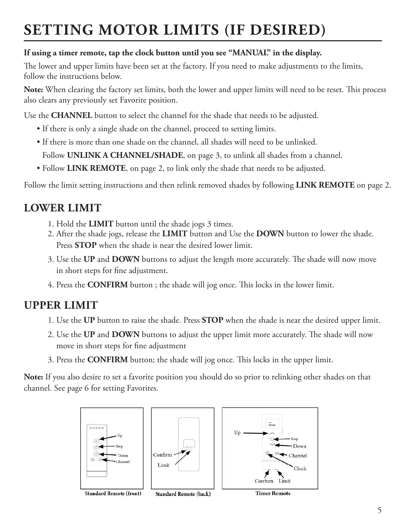## **SETTING MOTOR LIMITS (IF DESIRED)**

#### **If using a timer remote, tap the clock button until you see "MANUAL" in the display.**

The lower and upper limits have been set at the factory. If you need to make adjustments to the limits, follow the instructions below.

**Note:** When clearing the factory set limits, both the lower and upper limits will need to be reset. This process also clears any previously set Favorite position.

Use the **CHANNEL** button to select the channel for the shade that needs to be adjusted.

- If there is only a single shade on the channel, proceed to setting limits.
- If there is more than one shade on the channel, all shades will need to be unlinked.

• Follow **UNLINK A CHANNEL/SHADE**, on page 3, to unlink all shades from a channel.

• Follow **LINK REMOTE**, on page 2, to link only the shade that needs to be adjusted.

Follow the limit setting instructions and then relink removed shades by following **LINK REMOTE** on page 2.

#### **LOWER LIMIT**

- 1. Hold the **LIMIT** button until the shade jogs 3 times.
- 2. After the shade jogs, release the **LIMIT** button and Use the **DOWN** button to lower the shade. Press **STOP** when the shade is near the desired lower limit.
- 3. Use the **UP** and **DOWN** buttons to adjust the length more accurately. The shade will now move in short steps for fine adjustment.
- 4. Press the **CONFIRM** button ; the shade will jog once. This locks in the lower limit.

#### **UPPER LIMIT**

- 1. Use the **UP** button to raise the shade. Press **STOP** when the shade is near the desired upper limit.
- 2. Use the **UP** and **DOWN** buttons to adjust the upper limit more accurately. The shade will now move in short steps for fine adjustment
- 3. Press the **CONFIRM** button; the shade will jog once. This locks in the upper limit.

**Note:** If you also desire to set a favorite position you should do so prior to relinking other shades on that channel. See page 6 for setting Favorites.



**Standard Remote (back)** 

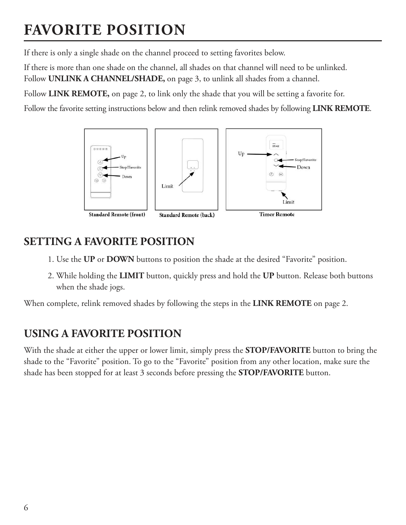## **FAVORITE POSITION**

If there is only a single shade on the channel proceed to setting favorites below.

If there is more than one shade on the channel, all shades on that channel will need to be unlinked. Follow **UNLINK A CHANNEL/SHADE,** on page 3, to unlink all shades from a channel.

Follow **LINK REMOTE,** on page 2, to link only the shade that you will be setting a favorite for.

Follow the favorite setting instructions below and then relink removed shades by following **LINK REMOTE**.



#### **SETTING A FAVORITE POSITION**

- 1. Use the **UP** or **DOWN** buttons to position the shade at the desired "Favorite" position.
- 2. While holding the **LIMIT** button, quickly press and hold the **UP** button. Release both buttons when the shade jogs.

When complete, relink removed shades by following the steps in the **LINK REMOTE** on page 2.

#### **USING A FAVORITE POSITION**

With the shade at either the upper or lower limit, simply press the **STOP/FAVORITE** button to bring the shade to the "Favorite" position. To go to the "Favorite" position from any other location, make sure the shade has been stopped for at least 3 seconds before pressing the **STOP/FAVORITE** button.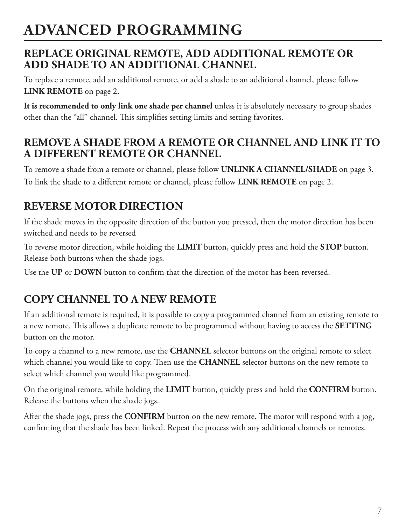### **ADVANCED PROGRAMMING**

#### **REPLACE ORIGINAL REMOTE, ADD ADDITIONAL REMOTE OR ADD SHADE TO AN ADDITIONAL CHANNEL**

To replace a remote, add an additional remote, or add a shade to an additional channel, please follow **LINK REMOTE** on page 2.

**It is recommended to only link one shade per channel** unless it is absolutely necessary to group shades other than the "all" channel. This simplifies setting limits and setting favorites.

#### **REMOVE A SHADE FROM A REMOTE OR CHANNEL AND LINK IT TO A DIFFERENT REMOTE OR CHANNEL**

To remove a shade from a remote or channel, please follow **UNLINK A CHANNEL/SHADE** on page 3. To link the shade to a different remote or channel, please follow **LINK REMOTE** on page 2.

### **REVERSE MOTOR DIRECTION**

If the shade moves in the opposite direction of the button you pressed, then the motor direction has been switched and needs to be reversed

To reverse motor direction, while holding the **LIMIT** button, quickly press and hold the **STOP** button. Release both buttons when the shade jogs.

Use the **UP** or **DOWN** button to confirm that the direction of the motor has been reversed.

### **COPY CHANNEL TO A NEW REMOTE**

If an additional remote is required, it is possible to copy a programmed channel from an existing remote to a new remote. This allows a duplicate remote to be programmed without having to access the **SETTING** button on the motor.

To copy a channel to a new remote, use the **CHANNEL** selector buttons on the original remote to select which channel you would like to copy. Then use the **CHANNEL** selector buttons on the new remote to select which channel you would like programmed.

On the original remote, while holding the **LIMIT** button, quickly press and hold the **CONFIRM** button. Release the buttons when the shade jogs.

After the shade jogs, press the **CONFIRM** button on the new remote. The motor will respond with a jog, confirming that the shade has been linked. Repeat the process with any additional channels or remotes.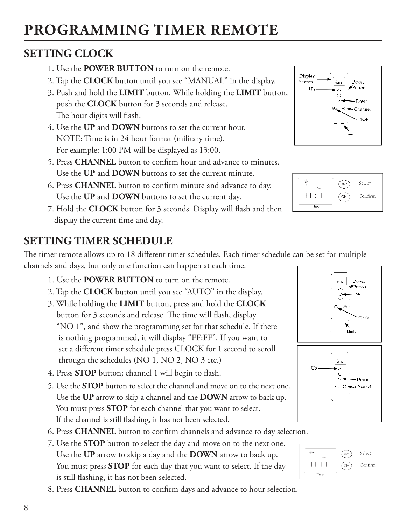## **PROGRAMMING TIMER REMOTE**

### **SETTING CLOCK**

- 1. Use the **POWER BUTTON** to turn on the remote.
- 2. Tap the **CLOCK** button until you see "MANUAL" in the display.
- 3. Push and hold the **LIMIT** button. While holding the **LIMIT** button, push the **CLOCK** button for 3 seconds and release. The hour digits will flash.
- 4. Use the **UP** and **DOWN** buttons to set the current hour. NOTE: Time is in 24 hour format (military time). For example: 1:00 PM will be displayed as 13:00.
- 5. Press **CHANNEL** button to confirm hour and advance to minutes. Use the **UP** and **DOWN** buttons to set the current minute.
- 6. Press **CHANNEL** button to confirm minute and advance to day. Use the **UP** and **DOWN** buttons to set the current day.
- 7. Hold the **CLOCK** button for 3 seconds. Display will flash and then display the current time and day.

### **SETTING TIMER SCHEDULE**

The timer remote allows up to 18 different timer schedules. Each timer schedule can be set for multiple channels and days, but only one function can happen at each time.

- 1. Use the **POWER BUTTON** to turn on the remote.
- 2. Tap the **CLOCK** button until you see "AUTO" in the display.
- 3. While holding the **LIMIT** button, press and hold the **CLOCK** button for 3 seconds and release. The time will flash, display "NO 1", and show the programming set for that schedule. If there is nothing programmed, it will display "FF:FF". If you want to set a different timer schedule press CLOCK for 1 second to scroll through the schedules (NO 1, NO 2, NO 3 etc.)
- 4. Press **STOP** button; channel 1 will begin to flash.
- 5. Use the **STOP** button to select the channel and move on to the next one. Use the **UP** arrow to skip a channel and the **DOWN** arrow to back up. You must press **STOP** for each channel that you want to select. If the channel is still flashing, it has not been selected.
- 6. Press **CHANNEL** button to confirm channels and advance to day selection.
- 7. Use the **STOP** button to select the day and move on to the next one. Use the **UP** arrow to skip a day and the **DOWN** arrow to back up. You must press **STOP** for each day that you want to select. If the day is still flashing, it has not been selected.
- 8. Press **CHANNEL** button to confirm days and advance to hour selection.







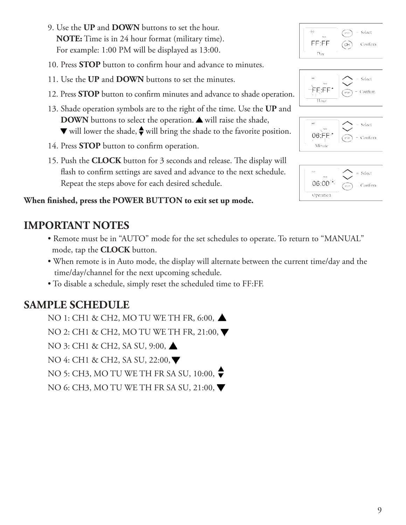9

- 9. Use the **UP** and **DOWN** buttons to set the hour. **NOTE:** Time is in 24 hour format (military time). For example: 1:00 PM will be displayed as 13:00.
- 10. Press **STOP** button to confirm hour and advance to minutes.
- 11. Use the **UP** and **DOWN** buttons to set the minutes.
- 12. Press **STOP** button to confirm minutes and advance to shade operation.
- 13. Shade operation symbols are to the right of the time. Use the **UP** and **DOWN** buttons to select the operation. A will raise the shade,  $\nabla$  will lower the shade,  $\triangle$  will bring the shade to the favorite position.
- 14. Press **STOP** button to confirm operation.
- 15. Push the **CLOCK** button for 3 seconds and release. The display will flash to confirm settings are saved and advance to the next schedule. Repeat the steps above for each desired schedule.

#### **When finished, press the POWER BUTTON to exit set up mode.**

#### **IMPORTANT NOTES**

- Remote must be in "AUTO" mode for the set schedules to operate. To return to "MANUAL" mode, tap the **CLOCK** button.
- When remote is in Auto mode, the display will alternate between the current time/day and the time/day/channel for the next upcoming schedule.
- To disable a schedule, simply reset the scheduled time to FF:FF.

### **SAMPLE SCHEDULE**

- NO 1: CH1 & CH2, MO TU WE TH FR, 6:00, ▲
- NO 2: CH1 & CH2, MO TU WE TH FR, 21:00, ▼
- NO 3: CH1 & CH2, SA SU, 9:00, **△**
- NO 4: CH1 & CH2, SA SU, 22:00, ▼
- NO 5: CH3, MO TU WE TH FR SA SU, 10:00,
- NO 6: CH3, MO TU WE TH FR SA SU, 21:00, ▼





| MO<br>Ad to | - Select          |
|-------------|-------------------|
| 06.I        | - Confirm<br>STCP |
| Minute      |                   |

| YO<br>Auto<br>$06:00^{+10}$ | $=$ Select<br>– Confirm<br>sto* |
|-----------------------------|---------------------------------|
| Operation                   |                                 |